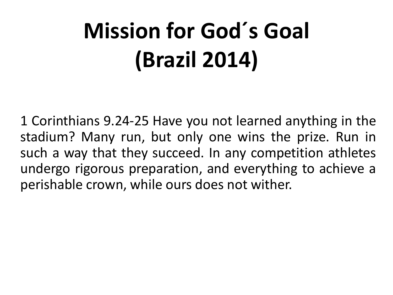## **Mission for God´s Goal (Brazil 2014)**

1 Corinthians 9.24-25 Have you not learned anything in the stadium? Many run, but only one wins the prize. Run in such a way that they succeed. In any competition athletes undergo rigorous preparation, and everything to achieve a perishable crown, while ours does not wither.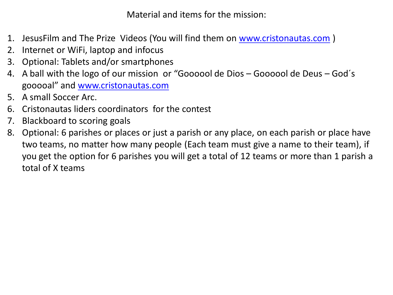Material and items for the mission:

- 1. JesusFilm and The Prize Videos (You will find them on [www.cristonautas.com](http://www.cristonautas.com/))
- 2. Internet or WiFi, laptop and infocus
- 3. Optional: Tablets and/or smartphones
- 4. A ball with the logo of our mission or "Goooool de Dios Goooool de Deus God´s gooooal" and [www.cristonautas.com](http://www.cristonautas.com/)
- 5. A small Soccer Arc.
- 6. Cristonautas liders coordinators for the contest
- 7. Blackboard to scoring goals
- 8. Optional: 6 parishes or places or just a parish or any place, on each parish or place have two teams, no matter how many people (Each team must give a name to their team), if you get the option for 6 parishes you will get a total of 12 teams or more than 1 parish a total of X teams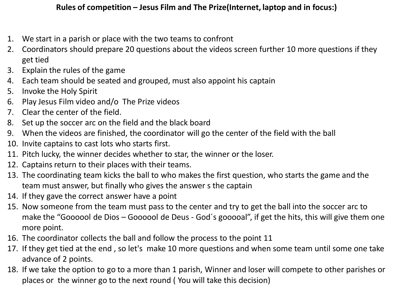- 1. We start in a parish or place with the two teams to confront
- 2. Coordinators should prepare 20 questions about the videos screen further 10 more questions if they get tied
- 3. Explain the rules of the game
- 4. Each team should be seated and grouped, must also appoint his captain
- 5. Invoke the Holy Spirit
- 6. Play Jesus Film video and/o The Prize videos
- 7. Clear the center of the field.
- 8. Set up the soccer arc on the field and the black board
- 9. When the videos are finished, the coordinator will go the center of the field with the ball
- 10. Invite captains to cast lots who starts first.
- 11. Pitch lucky, the winner decides whether to star, the winner or the loser.
- 12. Captains return to their places with their teams.
- 13. The coordinating team kicks the ball to who makes the first question, who starts the game and the team must answer, but finally who gives the answer s the captain
- 14. If they gave the correct answer have a point
- 15. Now someone from the team must pass to the center and try to get the ball into the soccer arc to make the "Goooool de Dios – Goooool de Deus - God´s gooooal", if get the hits, this will give them one more point.
- 16. The coordinator collects the ball and follow the process to the point 11
- 17. If they get tied at the end , so let's make 10 more questions and when some team until some one take advance of 2 points.
- 18. If we take the option to go to a more than 1 parish, Winner and loser will compete to other parishes or places or the winner go to the next round ( You will take this decision)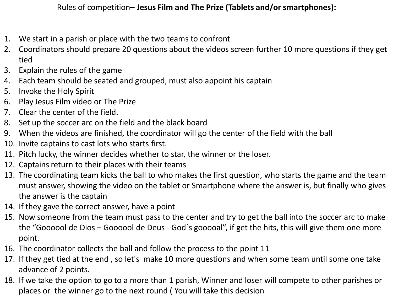Rules of competition**– Jesus Film and The Prize (Tablets and/or smartphones):**

- 1. We start in a parish or place with the two teams to confront
- 2. Coordinators should prepare 20 questions about the videos screen further 10 more questions if they get tied
- 3. Explain the rules of the game
- 4. Each team should be seated and grouped, must also appoint his captain
- 5. Invoke the Holy Spirit
- 6. Play Jesus Film video or The Prize
- 7. Clear the center of the field.
- 8. Set up the soccer arc on the field and the black board
- 9. When the videos are finished, the coordinator will go the center of the field with the ball
- 10. Invite captains to cast lots who starts first.
- 11. Pitch lucky, the winner decides whether to star, the winner or the loser.
- 12. Captains return to their places with their teams
- 13. The coordinating team kicks the ball to who makes the first question, who starts the game and the team must answer, showing the video on the tablet or Smartphone where the answer is, but finally who gives the answer is the captain
- 14. If they gave the correct answer, have a point
- 15. Now someone from the team must pass to the center and try to get the ball into the soccer arc to make the "Goooool de Dios – Goooool de Deus - God´s gooooal", if get the hits, this will give them one more point.
- 16. The coordinator collects the ball and follow the process to the point 11
- 17. If they get tied at the end , so let's make 10 more questions and when some team until some one take advance of 2 points.
- 18. If we take the option to go to a more than 1 parish, Winner and loser will compete to other parishes or places or the winner go to the next round ( You will take this decision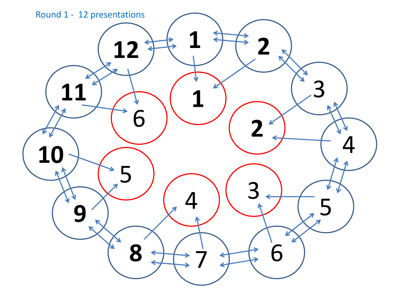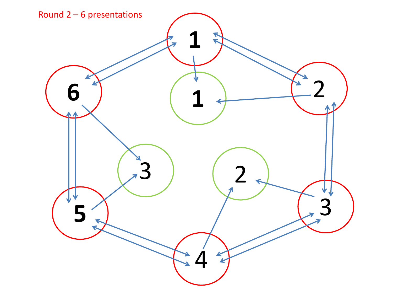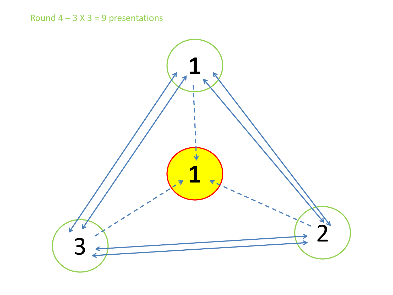## Round  $4 - 3$  X  $3 = 9$  presentations

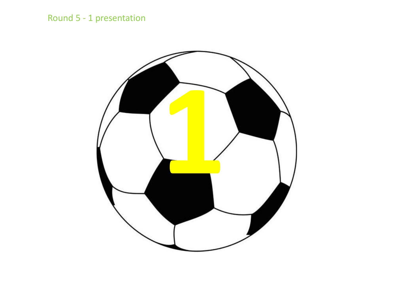## Round 5 - 1 presentation